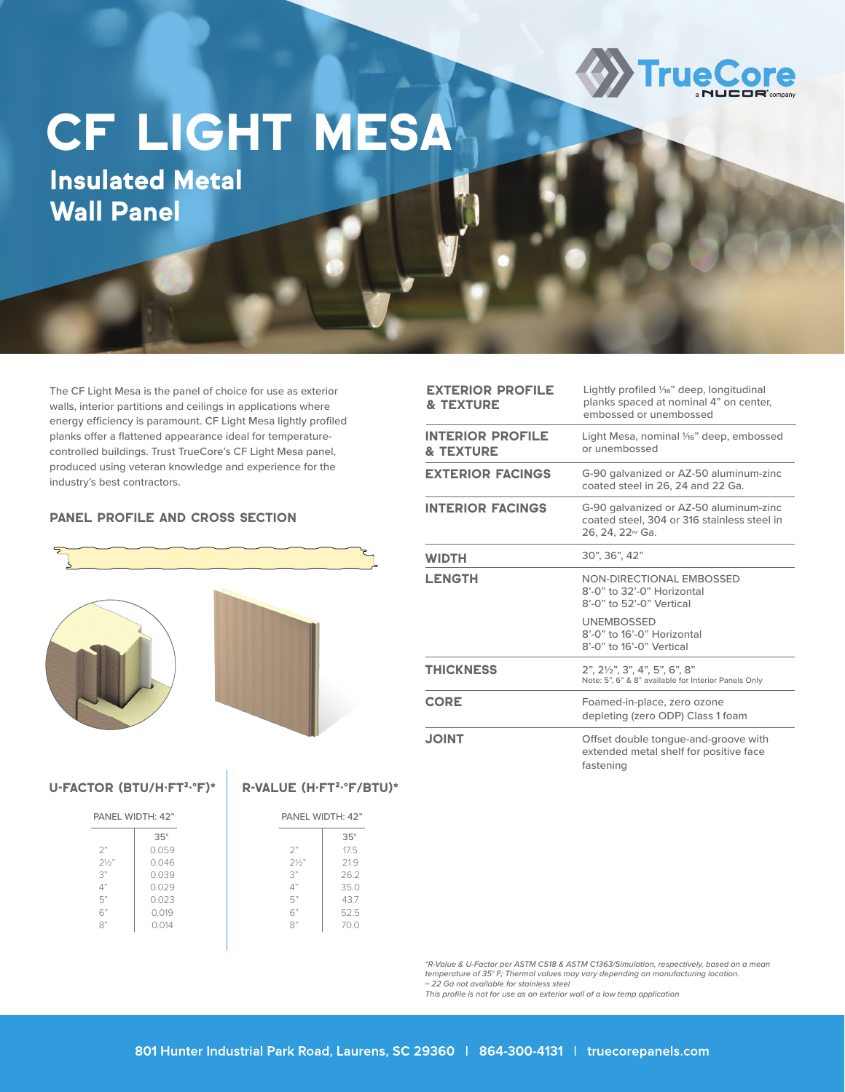

## **CF LIGHT MESA**

Wall Panel

The CF Light Mesa is the panel of choice for use as exterior walls, interior partitions and ceilings in applications where energy efficiency is paramount. CF Light Mesa lightly profiled planks offer a flattened appearance ideal for temperaturecontrolled buildings. Trust TrueCore's CF Light Mesa panel, produced using veteran knowledge and experience for the industry's best contractors.

## PANEL PROFILE AND CROSS SECTION



U-FACTOR (BTU/H·FT<sup>2</sup>·°F)\* R-VALUE (H·FT<sup>2</sup>·°F/BTU)\*

| PANEL WIDTH: 42" |            |  | PANEL WIDTH: 42" |            |
|------------------|------------|--|------------------|------------|
|                  | $35^\circ$ |  |                  | $35^\circ$ |
| 2"               | 0.059      |  | 2"               | 17.5       |
| 21/2"            | 0.046      |  | 21/2"            | 21.9       |
| 3"               | 0.039      |  | 3"               | 26.2       |
| 4"               | 0.029      |  | 4"               | 35.0       |
| 5"               | 0.023      |  | 5"               | 43.7       |
| 6"               | 0.019      |  | 6"               | 52.5       |
| $R$ "            | 0.014      |  | $R$ "            | 70.0       |
|                  |            |  |                  |            |
|                  |            |  |                  |            |

| <b>EXTERIOR PROFILE</b><br><b>&amp; TEXTURE</b> | Lightly profiled 1/16" deep, longitudinal<br>planks spaced at nominal 4" on center,<br>embossed or unembossed        |
|-------------------------------------------------|----------------------------------------------------------------------------------------------------------------------|
| <b>INTERIOR PROFILE</b><br><b>&amp; TEXTURE</b> | Light Mesa, nominal 1/16" deep, embossed<br>or unembossed                                                            |
| <b>EXTERIOR FACINGS</b>                         | G-90 galvanized or AZ-50 aluminum-zinc<br>coated steel in 26, 24 and 22 Ga.                                          |
| <b>INTERIOR FACINGS</b>                         | G-90 galvanized or AZ-50 aluminum-zinc<br>coated steel, 304 or 316 stainless steel in<br>26, 24, 22 <sup>~</sup> Ga. |
| <b>WIDTH</b>                                    | 30", 36", 42"                                                                                                        |
| <b>LENGTH</b>                                   | NON-DIRECTIONAL EMBOSSED<br>8'-0" to 32'-0" Horizontal<br>8'-0" to 52'-0" Vertical                                   |
|                                                 | <b>UNEMBOSSED</b><br>8'-0" to 16'-0" Horizontal<br>8'-0" to 16'-0" Vertical                                          |
| <b>THICKNESS</b>                                | 2", 21/2", 3", 4", 5", 6", 8"<br>Note: 5", 6" & 8" available for Interior Panels Only                                |
| <b>CORE</b>                                     | Foamed-in-place, zero ozone<br>depleting (zero ODP) Class 1 foam                                                     |
| <b>THIOL</b>                                    | Offset double tongue-and-groove with<br>extended metal shelf for positive face<br>fastening                          |

*\*R-Value & U-Factor per ASTM C518 & ASTM C1363/Simulation, respectively, based on a mean temperature of 35° F; Thermal values may vary depending on manufacturing location. ~ 22 Ga not available for stainless steel*

*This profile is not for use as an exterior wall of a low temp application*